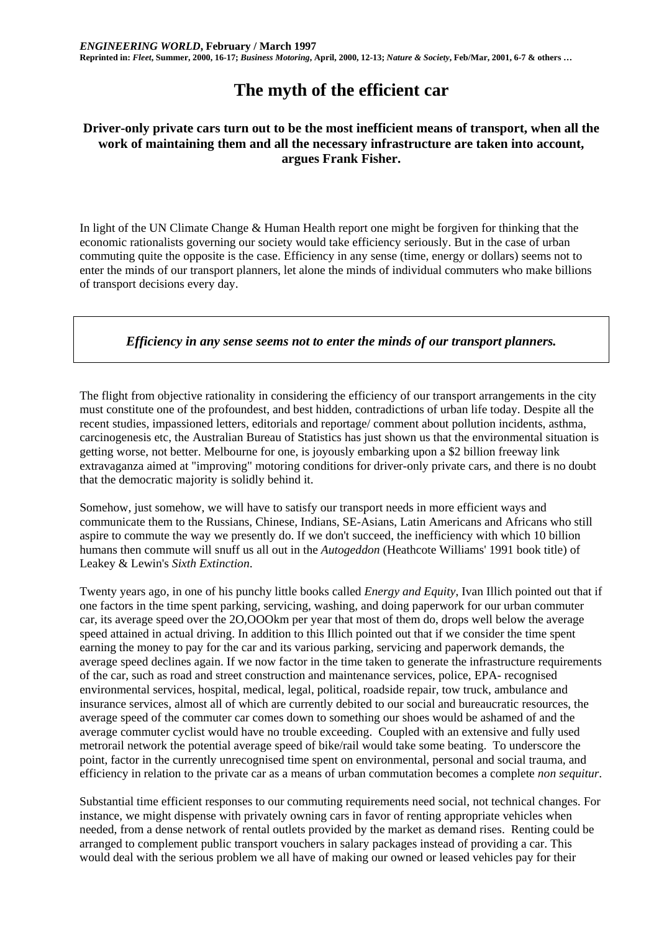# **The myth of the efficient car**

## **Driver-only private cars turn out to be the most inefficient means of transport, when all the work of maintaining them and all the necessary infrastructure are taken into account, argues Frank Fisher.**

In light of the UN Climate Change & Human Health report one might be forgiven for thinking that the economic rationalists governing our society would take efficiency seriously. But in the case of urban commuting quite the opposite is the case. Efficiency in any sense (time, energy or dollars) seems not to enter the minds of our transport planners, let alone the minds of individual commuters who make billions of transport decisions every day.

## *Efficiency in any sense seems not to enter the minds of our transport planners.*

The flight from objective rationality in considering the efficiency of our transport arrangements in the city must constitute one of the profoundest, and best hidden, contradictions of urban life today. Despite all the recent studies, impassioned letters, editorials and reportage/ comment about pollution incidents, asthma, carcinogenesis etc, the Australian Bureau of Statistics has just shown us that the environmental situation is getting worse, not better. Melbourne for one, is joyously embarking upon a \$2 billion freeway link extravaganza aimed at "improving" motoring conditions for driver-only private cars, and there is no doubt that the democratic majority is solidly behind it.

Somehow, just somehow, we will have to satisfy our transport needs in more efficient ways and communicate them to the Russians, Chinese, Indians, SE-Asians, Latin Americans and Africans who still aspire to commute the way we presently do. If we don't succeed, the inefficiency with which 10 billion humans then commute will snuff us all out in the *Autogeddon* (Heathcote Williams' 1991 book title) of Leakey & Lewin's *Sixth Extinction*.

Twenty years ago, in one of his punchy little books called *Energy and Equity*, Ivan Illich pointed out that if one factors in the time spent parking, servicing, washing, and doing paperwork for our urban commuter car, its average speed over the 2O,OOOkm per year that most of them do, drops well below the average speed attained in actual driving. In addition to this Illich pointed out that if we consider the time spent earning the money to pay for the car and its various parking, servicing and paperwork demands, the average speed declines again. If we now factor in the time taken to generate the infrastructure requirements of the car, such as road and street construction and maintenance services, police, EPA- recognised environmental services, hospital, medical, legal, political, roadside repair, tow truck, ambulance and insurance services, almost all of which are currently debited to our social and bureaucratic resources, the average speed of the commuter car comes down to something our shoes would be ashamed of and the average commuter cyclist would have no trouble exceeding. Coupled with an extensive and fully used metrorail network the potential average speed of bike/rail would take some beating. To underscore the point, factor in the currently unrecognised time spent on environmental, personal and social trauma, and efficiency in relation to the private car as a means of urban commutation becomes a complete *non sequitur*.

Substantial time efficient responses to our commuting requirements need social, not technical changes. For instance, we might dispense with privately owning cars in favor of renting appropriate vehicles when needed, from a dense network of rental outlets provided by the market as demand rises. Renting could be arranged to complement public transport vouchers in salary packages instead of providing a car. This would deal with the serious problem we all have of making our owned or leased vehicles pay for their